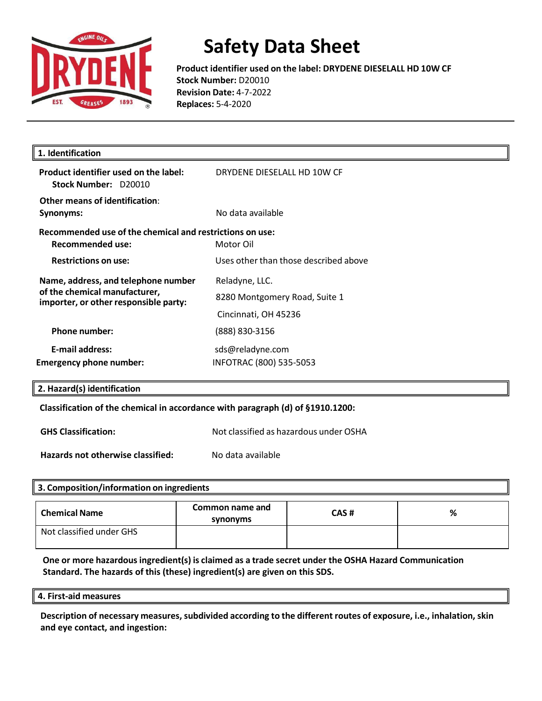

**Product identifier used on the label: DRYDENE DIESELALL HD 10W CF Stock Number:** D20010 **Revision Date:** 4-7-2022 **Replaces:** 5-4-2020

| 1. Identification                                                                                             |                                                                         |
|---------------------------------------------------------------------------------------------------------------|-------------------------------------------------------------------------|
| Product identifier used on the label:<br>Stock Number: D20010                                                 | DRYDENE DIESELALL HD 10W CF                                             |
| Other means of identification:<br>Synonyms:                                                                   | No data available                                                       |
| Recommended use of the chemical and restrictions on use:<br>Recommended use:                                  | Motor Oil                                                               |
| <b>Restrictions on use:</b>                                                                                   | Uses other than those described above                                   |
| Name, address, and telephone number<br>of the chemical manufacturer,<br>importer, or other responsible party: | Reladyne, LLC.<br>8280 Montgomery Road, Suite 1<br>Cincinnati, OH 45236 |
| <b>Phone number:</b>                                                                                          | (888) 830-3156                                                          |
| <b>E-mail address:</b><br><b>Emergency phone number:</b>                                                      | sds@reladyne.com<br>INFOTRAC (800) 535-5053                             |
|                                                                                                               |                                                                         |

#### **2. Hazard(s) identification**

**Classification of the chemical in accordance with paragraph (d) of §1910.1200:** 

**GHS Classification:** Not classified as hazardous under OSHA

**Hazards not otherwise classified:** No data available

#### **3. Composition/information on ingredients**

| <b>Chemical Name</b>     | Common name and<br>synonyms | CAS# | % |
|--------------------------|-----------------------------|------|---|
| Not classified under GHS |                             |      |   |

**One or more hazardousingredient(s) is claimed as a trade secret under the OSHA Hazard Communication Standard. The hazards of this (these) ingredient(s) are given on this SDS.**

#### **4. First-aid measures**

**Description of necessary measures,subdivided according to the different routes of exposure, i.e., inhalation, skin and eye contact, and ingestion:**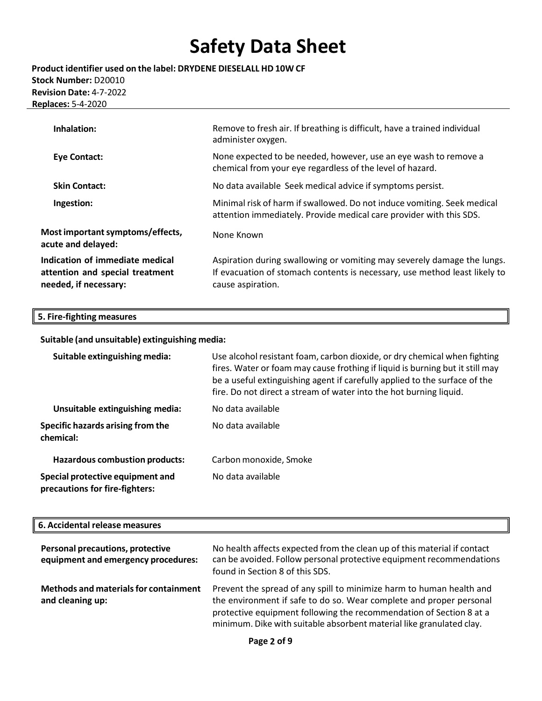**Product identifier used on the label: DRYDENE DIESELALL HD 10W CF Stock Number:** D20010 **Revision Date:** 4-7-2022 **Replaces:** 5-4-2020

| Inhalation:                                                                                 | Remove to fresh air. If breathing is difficult, have a trained individual<br>administer oxygen.                                                                            |
|---------------------------------------------------------------------------------------------|----------------------------------------------------------------------------------------------------------------------------------------------------------------------------|
| <b>Eye Contact:</b>                                                                         | None expected to be needed, however, use an eye wash to remove a<br>chemical from your eye regardless of the level of hazard.                                              |
| <b>Skin Contact:</b>                                                                        | No data available Seek medical advice if symptoms persist.                                                                                                                 |
| Ingestion:                                                                                  | Minimal risk of harm if swallowed. Do not induce vomiting. Seek medical<br>attention immediately. Provide medical care provider with this SDS.                             |
| Most important symptoms/effects,<br>acute and delayed:                                      | None Known                                                                                                                                                                 |
| Indication of immediate medical<br>attention and special treatment<br>needed, if necessary: | Aspiration during swallowing or vomiting may severely damage the lungs.<br>If evacuation of stomach contents is necessary, use method least likely to<br>cause aspiration. |

### **5. Fire-fighting measures**

**Suitable (and unsuitable) extinguishing media:**

| Suitable extinguishing media:                                      | Use alcohol resistant foam, carbon dioxide, or dry chemical when fighting<br>fires. Water or foam may cause frothing if liquid is burning but it still may<br>be a useful extinguishing agent if carefully applied to the surface of the<br>fire. Do not direct a stream of water into the hot burning liquid. |  |
|--------------------------------------------------------------------|----------------------------------------------------------------------------------------------------------------------------------------------------------------------------------------------------------------------------------------------------------------------------------------------------------------|--|
| Unsuitable extinguishing media:                                    | No data available                                                                                                                                                                                                                                                                                              |  |
| Specific hazards arising from the<br>chemical:                     | No data available                                                                                                                                                                                                                                                                                              |  |
| <b>Hazardous combustion products:</b>                              | Carbon monoxide, Smoke                                                                                                                                                                                                                                                                                         |  |
| Special protective equipment and<br>precautions for fire-fighters: | No data available                                                                                                                                                                                                                                                                                              |  |

#### **6. Accidental release measures**

| Personal precautions, protective<br>equipment and emergency procedures: | No health affects expected from the clean up of this material if contact<br>can be avoided. Follow personal protective equipment recommendations<br>found in Section 8 of this SDS.                                                                                                        |
|-------------------------------------------------------------------------|--------------------------------------------------------------------------------------------------------------------------------------------------------------------------------------------------------------------------------------------------------------------------------------------|
| Methods and materials for containment<br>and cleaning up:               | Prevent the spread of any spill to minimize harm to human health and<br>the environment if safe to do so. Wear complete and proper personal<br>protective equipment following the recommendation of Section 8 at a<br>minimum. Dike with suitable absorbent material like granulated clay. |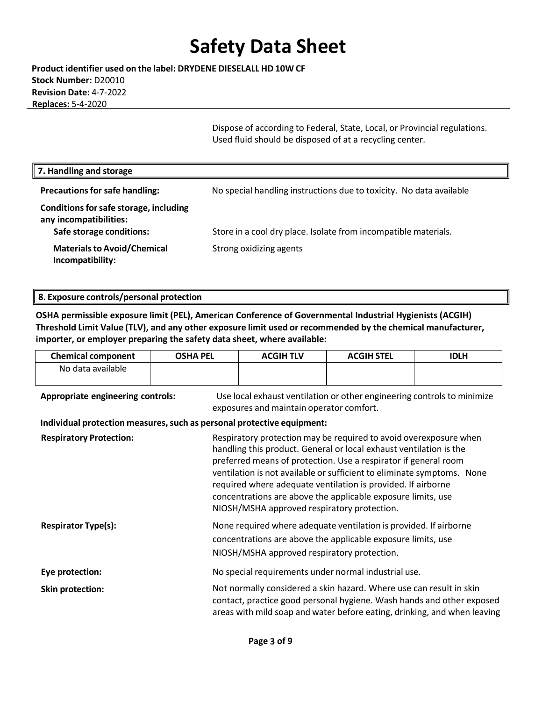**Product identifier used on the label: DRYDENE DIESELALL HD 10W CF Stock Number:** D20010 **Revision Date:** 4-7-2022 **Replaces:** 5-4-2020

> Dispose of according to Federal, State, Local, or Provincial regulations. Used fluid should be disposed of at a recycling center.

| 7. Handling and storage                                                                      |                                                                     |
|----------------------------------------------------------------------------------------------|---------------------------------------------------------------------|
| <b>Precautions for safe handling:</b>                                                        | No special handling instructions due to toxicity. No data available |
| Conditions for safe storage, including<br>any incompatibilities:<br>Safe storage conditions: | Store in a cool dry place. Isolate from incompatible materials.     |
| <b>Materials to Avoid/Chemical</b><br>Incompatibility:                                       | Strong oxidizing agents                                             |

### **8. Exposure controls/personal protection**

**OSHA permissible exposure limit (PEL), American Conference of Governmental Industrial Hygienists (ACGIH) Threshold Limit Value (TLV), and any other exposure limit used or recommended by the chemical manufacturer, importer, or employer preparing the safety data sheet, where available:**

| <b>Chemical component</b>                                              | <b>OSHA PEL</b> | <b>ACGIH TLV</b>                                                                                                                                                                                                                                                                                                                                                                                                                                                    | <b>ACGIH STEL</b>                                                                                                                 | <b>IDLH</b>                                                                                                                                       |
|------------------------------------------------------------------------|-----------------|---------------------------------------------------------------------------------------------------------------------------------------------------------------------------------------------------------------------------------------------------------------------------------------------------------------------------------------------------------------------------------------------------------------------------------------------------------------------|-----------------------------------------------------------------------------------------------------------------------------------|---------------------------------------------------------------------------------------------------------------------------------------------------|
| No data available                                                      |                 |                                                                                                                                                                                                                                                                                                                                                                                                                                                                     |                                                                                                                                   |                                                                                                                                                   |
| Appropriate engineering controls:                                      |                 | exposures and maintain operator comfort.                                                                                                                                                                                                                                                                                                                                                                                                                            | Use local exhaust ventilation or other engineering controls to minimize                                                           |                                                                                                                                                   |
| Individual protection measures, such as personal protective equipment: |                 |                                                                                                                                                                                                                                                                                                                                                                                                                                                                     |                                                                                                                                   |                                                                                                                                                   |
| <b>Respiratory Protection:</b>                                         |                 | Respiratory protection may be required to avoid overexposure when<br>handling this product. General or local exhaust ventilation is the<br>preferred means of protection. Use a respirator if general room<br>ventilation is not available or sufficient to eliminate symptoms. None<br>required where adequate ventilation is provided. If airborne<br>concentrations are above the applicable exposure limits, use<br>NIOSH/MSHA approved respiratory protection. |                                                                                                                                   |                                                                                                                                                   |
| <b>Respirator Type(s):</b>                                             |                 | NIOSH/MSHA approved respiratory protection.                                                                                                                                                                                                                                                                                                                                                                                                                         | None required where adequate ventilation is provided. If airborne<br>concentrations are above the applicable exposure limits, use |                                                                                                                                                   |
| Eye protection:                                                        |                 |                                                                                                                                                                                                                                                                                                                                                                                                                                                                     | No special requirements under normal industrial use.                                                                              |                                                                                                                                                   |
| <b>Skin protection:</b>                                                |                 |                                                                                                                                                                                                                                                                                                                                                                                                                                                                     | Not normally considered a skin hazard. Where use can result in skin                                                               | contact, practice good personal hygiene. Wash hands and other exposed<br>areas with mild soap and water before eating, drinking, and when leaving |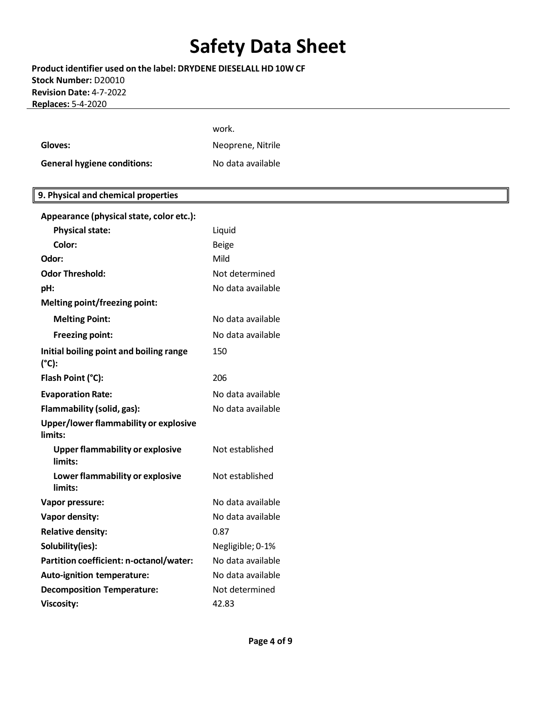**Product identifier used on the label: DRYDENE DIESELALL HD 10W CF Stock Number:** D20010 **Revision Date:** 4-7-2022 **Replaces:** 5-4-2020

|                                                   | work.             |
|---------------------------------------------------|-------------------|
| Gloves:                                           | Neoprene, Nitrile |
| <b>General hygiene conditions:</b>                | No data available |
|                                                   |                   |
| 9. Physical and chemical properties               |                   |
| Appearance (physical state, color etc.):          |                   |
| <b>Physical state:</b>                            | Liquid            |
| Color:                                            | <b>Beige</b>      |
| Odor:                                             | Mild              |
| <b>Odor Threshold:</b>                            | Not determined    |
| pH:                                               | No data available |
| Melting point/freezing point:                     |                   |
| <b>Melting Point:</b>                             | No data available |
| <b>Freezing point:</b>                            | No data available |
| Initial boiling point and boiling range<br>(°C):  | 150               |
| Flash Point (°C):                                 | 206               |
| <b>Evaporation Rate:</b>                          | No data available |
| Flammability (solid, gas):                        | No data available |
| Upper/lower flammability or explosive<br>limits:  |                   |
| <b>Upper flammability or explosive</b><br>limits: | Not established   |
| Lower flammability or explosive<br>limits:        | Not established   |
| Vapor pressure:                                   | No data available |
| Vapor density:                                    | No data available |
| <b>Relative density:</b>                          | 0.87              |
| Solubility(ies):                                  | Negligible; 0-1%  |
| Partition coefficient: n-octanol/water:           | No data available |
| Auto-ignition temperature:                        | No data available |
| <b>Decomposition Temperature:</b>                 | Not determined    |
| <b>Viscosity:</b>                                 | 42.83             |
|                                                   |                   |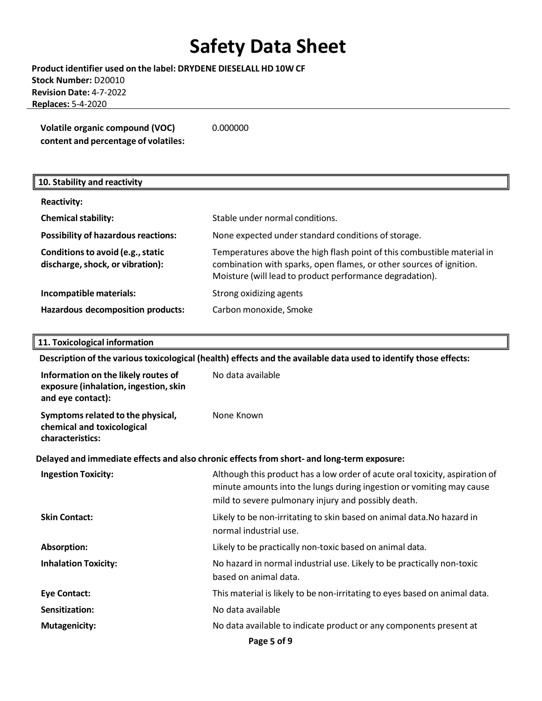**Product identifier used on the label: DRYDENE DIESELALL HD 10W CF Stock Number:** D20010 **Revision Date:** 4-7-2022 **Replaces:** 5-4-2020

| Volatile organic compound (VOC)      | 0.000000 |
|--------------------------------------|----------|
| content and percentage of volatiles: |          |

### **Reactivity: Chemical stability:** Stable under normal conditions. **Possibility of hazardous reactions:** None expected under standard conditions of storage. **Conditions to avoid (e.g., static discharge,shock, or vibration):** Temperatures above the high flash point of this combustible material in combination with sparks, open flames, or other sources of ignition. Moisture (will lead to product performance degradation). **Incompatible materials:** Strong oxidizing agents **Hazardous decomposition products:** Carbon monoxide, Smoke **10. Stability and reactivity**

#### **11. Toxicological information**

**Description of the varioustoxicological (health) effects and the available data used to identify those effects:**

| Information on the likely routes of<br>exposure (inhalation, ingestion, skin<br>and eye contact): | No data available                                                                                                                                                                                          |
|---------------------------------------------------------------------------------------------------|------------------------------------------------------------------------------------------------------------------------------------------------------------------------------------------------------------|
| Symptoms related to the physical,<br>chemical and toxicological<br>characteristics:               | None Known                                                                                                                                                                                                 |
|                                                                                                   | Delayed and immediate effects and also chronic effects from short- and long-term exposure:                                                                                                                 |
| <b>Ingestion Toxicity:</b>                                                                        | Although this product has a low order of acute oral toxicity, aspiration of<br>minute amounts into the lungs during ingestion or vomiting may cause<br>mild to severe pulmonary injury and possibly death. |
| <b>Skin Contact:</b>                                                                              | Likely to be non-irritating to skin based on animal data. No hazard in<br>normal industrial use.                                                                                                           |
| Absorption:                                                                                       | Likely to be practically non-toxic based on animal data.                                                                                                                                                   |
| <b>Inhalation Toxicity:</b>                                                                       | No hazard in normal industrial use. Likely to be practically non-toxic<br>based on animal data.                                                                                                            |
| <b>Eye Contact:</b>                                                                               | This material is likely to be non-irritating to eyes based on animal data.                                                                                                                                 |
| Sensitization:                                                                                    | No data available                                                                                                                                                                                          |
| <b>Mutagenicity:</b>                                                                              | No data available to indicate product or any components present at                                                                                                                                         |
|                                                                                                   | Page 5 of 9                                                                                                                                                                                                |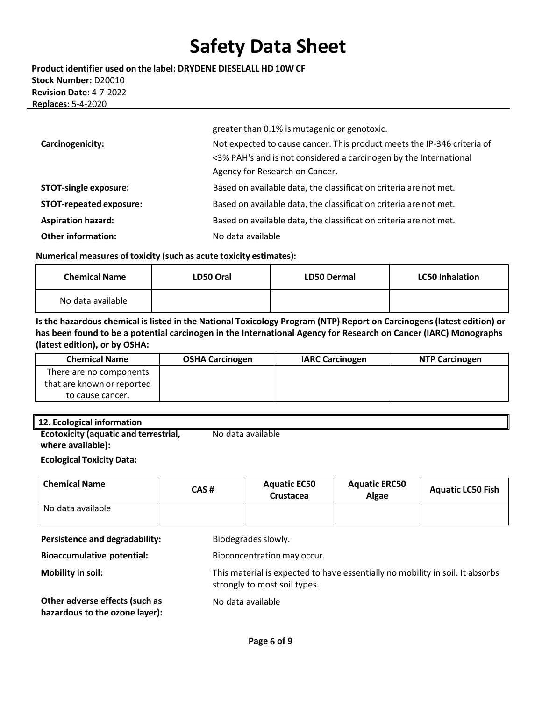**Product identifier used on the label: DRYDENE DIESELALL HD 10W CF Stock Number:** D20010 **Revision Date:** 4-7-2022 **Replaces:** 5-4-2020

|                                | greater than 0.1% is mutagenic or genotoxic.                                                                                                                                   |
|--------------------------------|--------------------------------------------------------------------------------------------------------------------------------------------------------------------------------|
| Carcinogenicity:               | Not expected to cause cancer. This product meets the IP-346 criteria of<br><3% PAH's and is not considered a carcinogen by the International<br>Agency for Research on Cancer. |
| <b>STOT-single exposure:</b>   | Based on available data, the classification criteria are not met.                                                                                                              |
| <b>STOT-repeated exposure:</b> | Based on available data, the classification criteria are not met.                                                                                                              |
| <b>Aspiration hazard:</b>      | Based on available data, the classification criteria are not met.                                                                                                              |
| <b>Other information:</b>      | No data available                                                                                                                                                              |

#### **Numerical measures of toxicity (such as acute toxicity estimates):**

| <b>Chemical Name</b> | LD50 Oral | <b>LD50 Dermal</b> | <b>LC50 Inhalation</b> |
|----------------------|-----------|--------------------|------------------------|
| No data available    |           |                    |                        |

Is the hazardous chemical is listed in the National Toxicology Program (NTP) Report on Carcinogens (latest edition) or **has been found to be a potential carcinogen in the International Agency for Research on Cancer (IARC) Monographs (latest edition), or by OSHA:**

| <b>Chemical Name</b>       | <b>OSHA Carcinogen</b> | <b>IARC Carcinogen</b> | <b>NTP Carcinogen</b> |
|----------------------------|------------------------|------------------------|-----------------------|
| There are no components    |                        |                        |                       |
| that are known or reported |                        |                        |                       |
| to cause cancer.           |                        |                        |                       |

#### **12. Ecological information**

**Ecotoxicity (aquatic and terrestrial, where available):**  No data available

#### **Ecological Toxicity Data:**

| <b>Chemical Name</b> | CAS# | <b>Aquatic EC50</b><br>Crustacea | <b>Aquatic ERC50</b><br>Algae | <b>Aquatic LC50 Fish</b> |
|----------------------|------|----------------------------------|-------------------------------|--------------------------|
| No data available    |      |                                  |                               |                          |
| .<br>                |      | .                                |                               |                          |

**Persistence and degradability:** Biodegrades slowly.

**Bioaccumulative potential:** Bioconcentration may occur.

**Mobility in soil:** This material is expected to have essentially no mobility in soil. It absorbs

**Other adverse effects (such as hazardous to the ozone layer):** strongly to most soil types.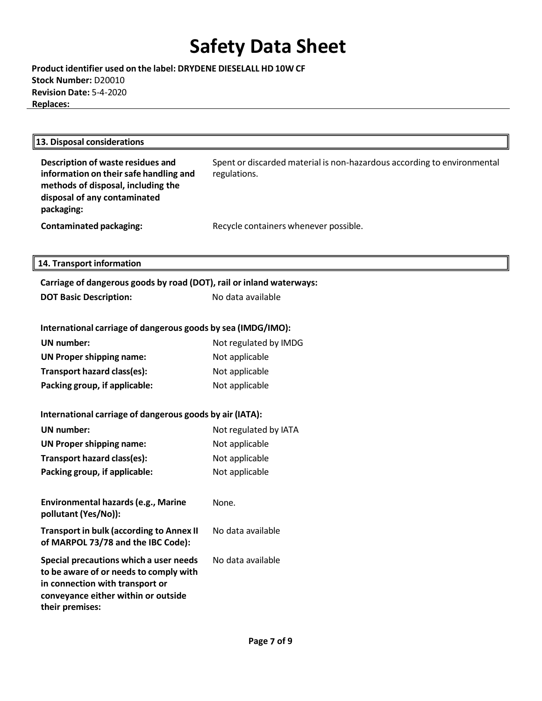**Product identifier used on the label: DRYDENE DIESELALL HD 10W CF Stock Number:** D20010 **Revision Date:** 5-4-2020 **Replaces:**

| 13. Disposal considerations                                                                                                                                                                                                                                |                                       |  |
|------------------------------------------------------------------------------------------------------------------------------------------------------------------------------------------------------------------------------------------------------------|---------------------------------------|--|
| Description of waste residues and<br>Spent or discarded material is non-hazardous according to environmental<br>information on their safe handling and<br>regulations.<br>methods of disposal, including the<br>disposal of any contaminated<br>packaging: |                                       |  |
| <b>Contaminated packaging:</b>                                                                                                                                                                                                                             | Recycle containers whenever possible. |  |
|                                                                                                                                                                                                                                                            |                                       |  |
| 14. Transport information                                                                                                                                                                                                                                  |                                       |  |
| Carriage of dangerous goods by road (DOT), rail or inland waterways:                                                                                                                                                                                       |                                       |  |
| <b>DOT Basic Description:</b>                                                                                                                                                                                                                              | No data available                     |  |
| International carriage of dangerous goods by sea (IMDG/IMO):                                                                                                                                                                                               |                                       |  |
| <b>UN</b> number:                                                                                                                                                                                                                                          | Not regulated by IMDG                 |  |
| <b>UN Proper shipping name:</b>                                                                                                                                                                                                                            | Not applicable                        |  |
| Transport hazard class(es):                                                                                                                                                                                                                                | Not applicable                        |  |
| Packing group, if applicable:                                                                                                                                                                                                                              | Not applicable                        |  |
| International carriage of dangerous goods by air (IATA):                                                                                                                                                                                                   |                                       |  |
| <b>UN number:</b>                                                                                                                                                                                                                                          | Not regulated by IATA                 |  |
| <b>UN Proper shipping name:</b>                                                                                                                                                                                                                            | Not applicable                        |  |
| Transport hazard class(es):                                                                                                                                                                                                                                | Not applicable                        |  |
| Packing group, if applicable:                                                                                                                                                                                                                              | Not applicable                        |  |
| Environmental hazards (e.g., Marine<br>pollutant (Yes/No)):                                                                                                                                                                                                | None.                                 |  |
| <b>Transport in bulk (according to Annex II</b><br>of MARPOL 73/78 and the IBC Code):                                                                                                                                                                      | No data available                     |  |
| Special precautions which a user needs<br>to be aware of or needs to comply with<br>in connection with transport or<br>conveyance either within or outside<br>their premises:                                                                              | No data available                     |  |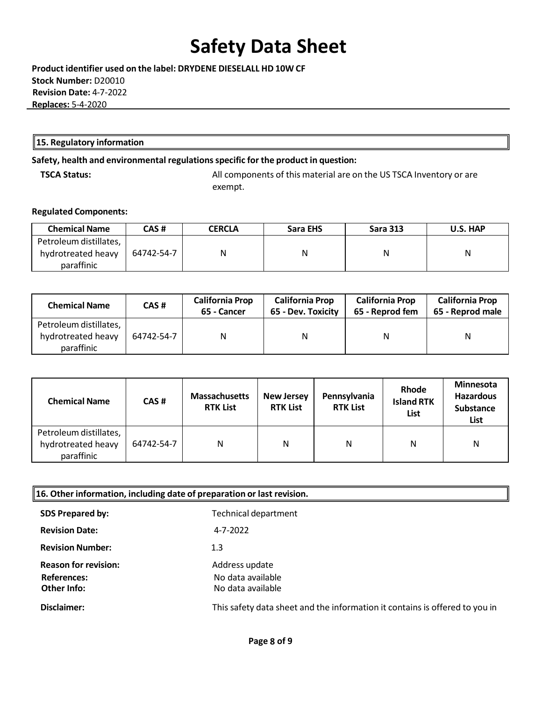**Product identifier used on the label: DRYDENE DIESELALL HD 10W CF Stock Number:** D20010  **Revision Date:** 4-7-2022 **Replaces:** 5-4-2020

#### **15. Regulatory information**

### **Safety, health and environmental regulationsspecific for the product in question:**

**TSCA Status:** All components of this material are on the US TSCA Inventory or are exempt.

#### **Regulated Components:**

| <b>Chemical Name</b>                                       | CAS #      | <b>CERCLA</b> | Sara EHS | <b>Sara 313</b> | U.S. HAP |
|------------------------------------------------------------|------------|---------------|----------|-----------------|----------|
| Petroleum distillates,<br>hydrotreated heavy<br>paraffinic | 64742-54-7 | Ν             | Ν        | N               | N        |

| <b>Chemical Name</b>                                       | CAS#       | <b>California Prop</b><br>65 - Cancer | <b>California Prop</b><br>65 - Dev. Toxicity | <b>California Prop</b><br>65 - Reprod fem | <b>California Prop</b><br>65 - Reprod male |
|------------------------------------------------------------|------------|---------------------------------------|----------------------------------------------|-------------------------------------------|--------------------------------------------|
| Petroleum distillates,<br>hydrotreated heavy<br>paraffinic | 64742-54-7 | N                                     | N                                            | N                                         | N                                          |

| <b>Chemical Name</b>                                       | CAS#       | <b>Massachusetts</b><br><b>RTK List</b> | <b>New Jersey</b><br><b>RTK List</b> | Pennsylvania<br><b>RTK List</b> | <b>Rhode</b><br><b>Island RTK</b><br>List | <b>Minnesota</b><br><b>Hazardous</b><br><b>Substance</b><br>List |
|------------------------------------------------------------|------------|-----------------------------------------|--------------------------------------|---------------------------------|-------------------------------------------|------------------------------------------------------------------|
| Petroleum distillates,<br>hydrotreated heavy<br>paraffinic | 64742-54-7 | N                                       | N                                    | N                               | N                                         | N                                                                |

| $\parallel$ 16. Other information, including date of preparation or last revision. |                                                                             |  |
|------------------------------------------------------------------------------------|-----------------------------------------------------------------------------|--|
| <b>SDS Prepared by:</b>                                                            | Technical department                                                        |  |
| <b>Revision Date:</b>                                                              | 4-7-2022                                                                    |  |
| <b>Revision Number:</b>                                                            | $1.3\phantom{0}$                                                            |  |
| <b>Reason for revision:</b>                                                        | Address update                                                              |  |
| <b>References:</b>                                                                 | No data available                                                           |  |
| <b>Other Info:</b>                                                                 | No data available                                                           |  |
| Disclaimer:                                                                        | This safety data sheet and the information it contains is offered to you in |  |